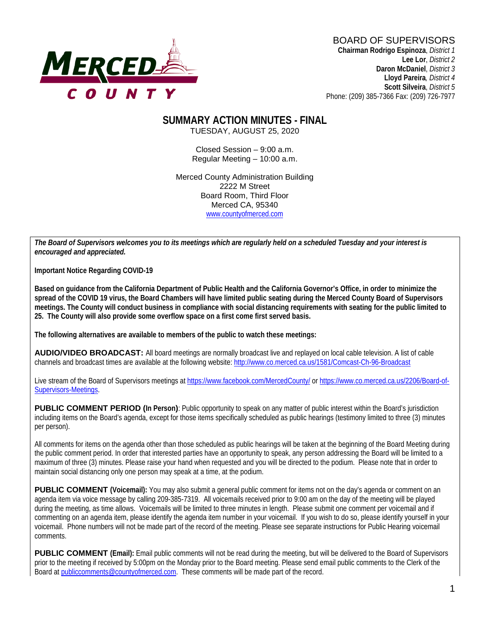

# BOARD OF SUPERVISORS

**Chairman Rodrigo Espinoza**, *District 1* **Lee Lor**, *District 2*  **Daron McDaniel**, *District 3* **Lloyd Pareira***, District 4*  **Scott Silveira**, *District 5* Phone: (209) 385-7366 Fax: (209) 726-7977

#### **SUMMARY ACTION MINUTES - FINAL** TUESDAY, AUGUST 25, 2020

Closed Session – 9:00 a.m. Regular Meeting – 10:00 a.m.

Merced County Administration Building 2222 M Street Board Room, Third Floor Merced CA, 95340 www.countyofmerced.com

*The Board of Supervisors welcomes you to its meetings which are regularly held on a scheduled Tuesday and your interest is encouraged and appreciated.*

**Important Notice Regarding COVID-19**

**Based on guidance from the California Department of Public Health and the California Governor's Office, in order to minimize the spread of the COVID 19 virus, the Board Chambers will have limited public seating during the Merced County Board of Supervisors meetings. The County will conduct business in compliance with social distancing requirements with seating for the public limited to 25. The County will also provide some overflow space on a first come first served basis.**

**The following alternatives are available to members of the public to watch these meetings:**

**AUDIO/VIDEO BROADCAST:** All board meetings are normally broadcast live and replayed on local cable television. A list of cable channels and broadcast times are available at the following website[: http://www.co.merced.ca.us/1581/Comcast-Ch-96-Broadcast](http://www.co.merced.ca.us/1581/Comcast-Ch-96-Broadcast)

Live stream of the Board of Supervisors meetings at<https://www.facebook.com/MercedCounty/> o[r https://www.co.merced.ca.us/2206/Board-of-](https://www.co.merced.ca.us/2206/Board-of-Supervisors-Meetings)[Supervisors-Meetings.](https://www.co.merced.ca.us/2206/Board-of-Supervisors-Meetings)

**PUBLIC COMMENT PERIOD (In Person):** Public opportunity to speak on any matter of public interest within the Board's jurisdiction including items on the Board's agenda, except for those items specifically scheduled as public hearings (testimony limited to three (3) minutes per person).

All comments for items on the agenda other than those scheduled as public hearings will be taken at the beginning of the Board Meeting during the public comment period. In order that interested parties have an opportunity to speak, any person addressing the Board will be limited to a maximum of three (3) minutes. Please raise your hand when requested and you will be directed to the podium. Please note that in order to maintain social distancing only one person may speak at a time, at the podium.

**PUBLIC COMMENT (Voicemail):** You may also submit a general public comment for items not on the day's agenda or comment on an agenda item via voice message by calling 209-385-7319. All voicemails received prior to 9:00 am on the day of the meeting will be played during the meeting, as time allows. Voicemails will be limited to three minutes in length. Please submit one comment per voicemail and if commenting on an agenda item, please identify the agenda item number in your voicemail. If you wish to do so, please identify yourself in your voicemail. Phone numbers will not be made part of the record of the meeting. Please see separate instructions for Public Hearing voicemail comments.

**PUBLIC COMMENT (Email):** Email public comments will not be read during the meeting, but will be delivered to the Board of Supervisors prior to the meeting if received by 5:00pm on the Monday prior to the Board meeting. Please send email public comments to the Clerk of the Board a[t publiccomments@countyofmerced.com.](mailto:publiccomments@countyofmerced.com) These comments will be made part of the record.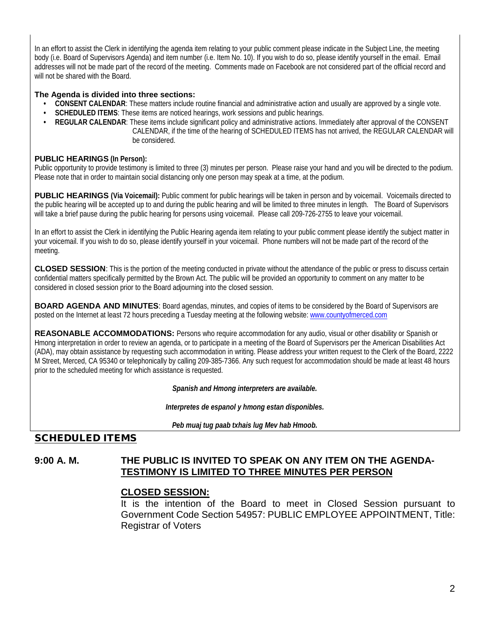In an effort to assist the Clerk in identifying the agenda item relating to your public comment please indicate in the Subject Line, the meeting body (i.e. Board of Supervisors Agenda) and item number (i.e. Item No. 10). If you wish to do so, please identify yourself in the email. Email addresses will not be made part of the record of the meeting. Comments made on Facebook are not considered part of the official record and will not be shared with the Board.

#### **The Agenda is divided into three sections:**

- **CONSENT CALENDAR**: These matters include routine financial and administrative action and usually are approved by a single vote.
- **SCHEDULED ITEMS:** These items are noticed hearings, work sessions and public hearings.
- **REGULAR CALENDAR**: These items include significant policy and administrative actions. Immediately after approval of the CONSENT CALENDAR, if the time of the hearing of SCHEDULED ITEMS has not arrived, the REGULAR CALENDAR will be considered.

#### **PUBLIC HEARINGS (In Person):**

Public opportunity to provide testimony is limited to three (3) minutes per person. Please raise your hand and you will be directed to the podium. Please note that in order to maintain social distancing only one person may speak at a time, at the podium.

**PUBLIC HEARINGS (Via Voicemail):** Public comment for public hearings will be taken in person and by voicemail. Voicemails directed to the public hearing will be accepted up to and during the public hearing and will be limited to three minutes in length. The Board of Supervisors will take a brief pause during the public hearing for persons using voicemail. Please call 209-726-2755 to leave your voicemail.

In an effort to assist the Clerk in identifying the Public Hearing agenda item relating to your public comment please identify the subject matter in your voicemail. If you wish to do so, please identify yourself in your voicemail. Phone numbers will not be made part of the record of the meeting.

**CLOSED SESSION**: This is the portion of the meeting conducted in private without the attendance of the public or press to discuss certain confidential matters specifically permitted by the Brown Act. The public will be provided an opportunity to comment on any matter to be considered in closed session prior to the Board adjourning into the closed session.

**BOARD AGENDA AND MINUTES:** Board agendas, minutes, and copies of items to be considered by the Board of Supervisors are posted on the Internet at least 72 hours preceding a Tuesday meeting at the following website: [www.countyofmerced.com](http://www.countyofmerced.com/) 

**REASONABLE ACCOMMODATIONS:** Persons who require accommodation for any audio, visual or other disability or Spanish or Hmong interpretation in order to review an agenda, or to participate in a meeting of the Board of Supervisors per the American Disabilities Act (ADA), may obtain assistance by requesting such accommodation in writing. Please address your written request to the Clerk of the Board, 2222 M Street, Merced, CA 95340 or telephonically by calling 209-385-7366. Any such request for accommodation should be made at least 48 hours prior to the scheduled meeting for which assistance is requested.

*Spanish and Hmong interpreters are available.*

*Interpretes de espanol y hmong estan disponibles.*

*Peb muaj tug paab txhais lug Mev hab Hmoob.* 

# SCHEDULED ITEMS

#### **9:00 A. M. THE PUBLIC IS INVITED TO SPEAK ON ANY ITEM ON THE AGENDA-TESTIMONY IS LIMITED TO THREE MINUTES PER PERSON**

#### **CLOSED SESSION:**

It is the intention of the Board to meet in Closed Session pursuant to Government Code Section 54957: PUBLIC EMPLOYEE APPOINTMENT, Title: Registrar of Voters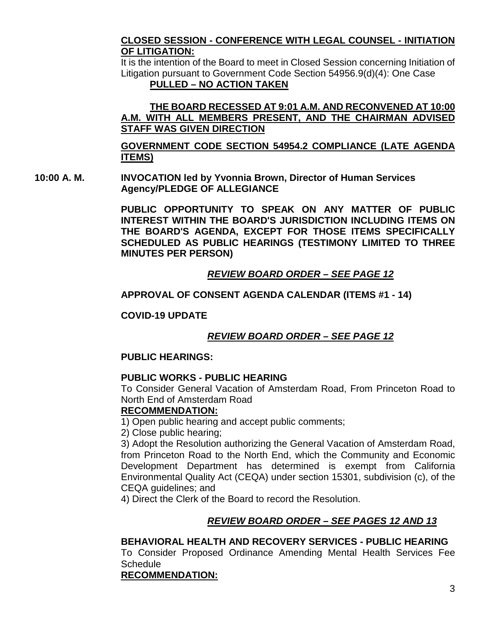#### **CLOSED SESSION - CONFERENCE WITH LEGAL COUNSEL - INITIATION OF LITIGATION:**

It is the intention of the Board to meet in Closed Session concerning Initiation of Litigation pursuant to Government Code Section 54956.9(d)(4): One Case **PULLED – NO ACTION TAKEN**

#### **THE BOARD RECESSED AT 9:01 A.M. AND RECONVENED AT 10:00 A.M. WITH ALL MEMBERS PRESENT, AND THE CHAIRMAN ADVISED STAFF WAS GIVEN DIRECTION**

**GOVERNMENT CODE SECTION 54954.2 COMPLIANCE (LATE AGENDA ITEMS)**

**10:00 A. M. INVOCATION led by Yvonnia Brown, Director of Human Services Agency/PLEDGE OF ALLEGIANCE**

> **PUBLIC OPPORTUNITY TO SPEAK ON ANY MATTER OF PUBLIC INTEREST WITHIN THE BOARD'S JURISDICTION INCLUDING ITEMS ON THE BOARD'S AGENDA, EXCEPT FOR THOSE ITEMS SPECIFICALLY SCHEDULED AS PUBLIC HEARINGS (TESTIMONY LIMITED TO THREE MINUTES PER PERSON)**

# *REVIEW BOARD ORDER – SEE PAGE 12*

# **APPROVAL OF CONSENT AGENDA CALENDAR (ITEMS #1 - 14)**

**COVID-19 UPDATE**

# *REVIEW BOARD ORDER – SEE PAGE 12*

#### **PUBLIC HEARINGS:**

#### **PUBLIC WORKS - PUBLIC HEARING**

To Consider General Vacation of Amsterdam Road, From Princeton Road to North End of Amsterdam Road

#### **RECOMMENDATION:**

1) Open public hearing and accept public comments;

2) Close public hearing;

3) Adopt the Resolution authorizing the General Vacation of Amsterdam Road, from Princeton Road to the North End, which the Community and Economic Development Department has determined is exempt from California Environmental Quality Act (CEQA) under section 15301, subdivision (c), of the CEQA guidelines; and

4) Direct the Clerk of the Board to record the Resolution.

# *REVIEW BOARD ORDER – SEE PAGES 12 AND 13*

# **BEHAVIORAL HEALTH AND RECOVERY SERVICES - PUBLIC HEARING**

To Consider Proposed Ordinance Amending Mental Health Services Fee **Schedule** 

# **RECOMMENDATION:**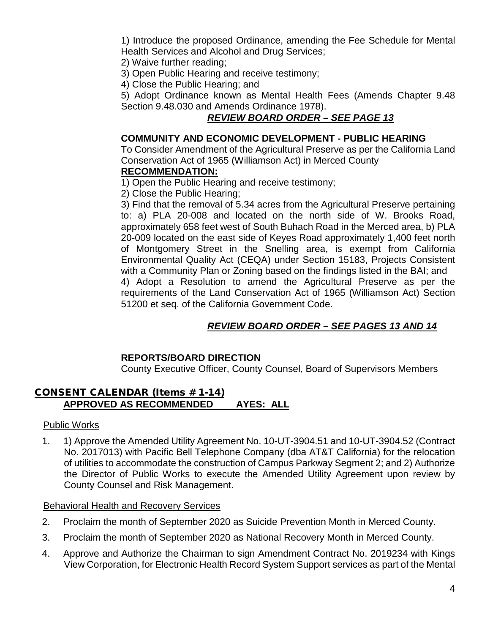1) Introduce the proposed Ordinance, amending the Fee Schedule for Mental Health Services and Alcohol and Drug Services;

2) Waive further reading;

3) Open Public Hearing and receive testimony;

4) Close the Public Hearing; and

5) Adopt Ordinance known as Mental Health Fees (Amends Chapter 9.48 Section 9.48.030 and Amends Ordinance 1978).

# *REVIEW BOARD ORDER – SEE PAGE 13*

#### **COMMUNITY AND ECONOMIC DEVELOPMENT - PUBLIC HEARING**

To Consider Amendment of the Agricultural Preserve as per the California Land Conservation Act of 1965 (Williamson Act) in Merced County

# **RECOMMENDATION:**

1) Open the Public Hearing and receive testimony;

2) Close the Public Hearing;

3) Find that the removal of 5.34 acres from the Agricultural Preserve pertaining to: a) PLA 20-008 and located on the north side of W. Brooks Road, approximately 658 feet west of South Buhach Road in the Merced area, b) PLA 20-009 located on the east side of Keyes Road approximately 1,400 feet north of Montgomery Street in the Snelling area, is exempt from California Environmental Quality Act (CEQA) under Section 15183, Projects Consistent with a Community Plan or Zoning based on the findings listed in the BAI; and 4) Adopt a Resolution to amend the Agricultural Preserve as per the requirements of the Land Conservation Act of 1965 (Williamson Act) Section 51200 et seq. of the California Government Code.

# *REVIEW BOARD ORDER – SEE PAGES 13 AND 14*

#### **REPORTS/BOARD DIRECTION**

County Executive Officer, County Counsel, Board of Supervisors Members

#### CONSENT CALENDAR (Items # 1-14) **APPROVED AS RECOMMENDED AYES: ALL**

#### Public Works

1. 1) Approve the Amended Utility Agreement No. 10-UT-3904.51 and 10-UT-3904.52 (Contract No. 2017013) with Pacific Bell Telephone Company (dba AT&T California) for the relocation of utilities to accommodate the construction of Campus Parkway Segment 2; and 2) Authorize the Director of Public Works to execute the Amended Utility Agreement upon review by County Counsel and Risk Management.

#### Behavioral Health and Recovery Services

- 2. Proclaim the month of September 2020 as Suicide Prevention Month in Merced County.
- 3. Proclaim the month of September 2020 as National Recovery Month in Merced County.
- 4. Approve and Authorize the Chairman to sign Amendment Contract No. 2019234 with Kings View Corporation, for Electronic Health Record System Support services as part of the Mental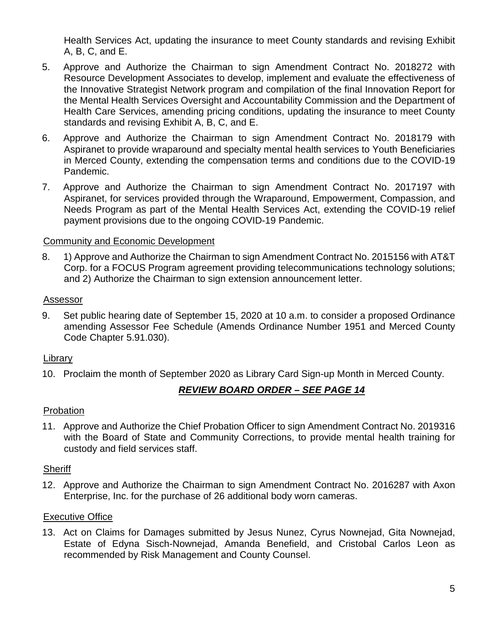Health Services Act, updating the insurance to meet County standards and revising Exhibit A, B, C, and E.

- 5. Approve and Authorize the Chairman to sign Amendment Contract No. 2018272 with Resource Development Associates to develop, implement and evaluate the effectiveness of the Innovative Strategist Network program and compilation of the final Innovation Report for the Mental Health Services Oversight and Accountability Commission and the Department of Health Care Services, amending pricing conditions, updating the insurance to meet County standards and revising Exhibit A, B, C, and E.
- 6. Approve and Authorize the Chairman to sign Amendment Contract No. 2018179 with Aspiranet to provide wraparound and specialty mental health services to Youth Beneficiaries in Merced County, extending the compensation terms and conditions due to the COVID-19 Pandemic.
- 7. Approve and Authorize the Chairman to sign Amendment Contract No. 2017197 with Aspiranet, for services provided through the Wraparound, Empowerment, Compassion, and Needs Program as part of the Mental Health Services Act, extending the COVID-19 relief payment provisions due to the ongoing COVID-19 Pandemic.

# Community and Economic Development

8. 1) Approve and Authorize the Chairman to sign Amendment Contract No. 2015156 with AT&T Corp. for a FOCUS Program agreement providing telecommunications technology solutions; and 2) Authorize the Chairman to sign extension announcement letter.

#### Assessor

9. Set public hearing date of September 15, 2020 at 10 a.m. to consider a proposed Ordinance amending Assessor Fee Schedule (Amends Ordinance Number 1951 and Merced County Code Chapter 5.91.030).

# Library

10. Proclaim the month of September 2020 as Library Card Sign-up Month in Merced County.

# *REVIEW BOARD ORDER – SEE PAGE 14*

#### **Probation**

11. Approve and Authorize the Chief Probation Officer to sign Amendment Contract No. 2019316 with the Board of State and Community Corrections, to provide mental health training for custody and field services staff.

#### Sheriff

12. Approve and Authorize the Chairman to sign Amendment Contract No. 2016287 with Axon Enterprise, Inc. for the purchase of 26 additional body worn cameras.

# Executive Office

13. Act on Claims for Damages submitted by Jesus Nunez, Cyrus Nownejad, Gita Nownejad, Estate of Edyna Sisch-Nownejad, Amanda Benefield, and Cristobal Carlos Leon as recommended by Risk Management and County Counsel.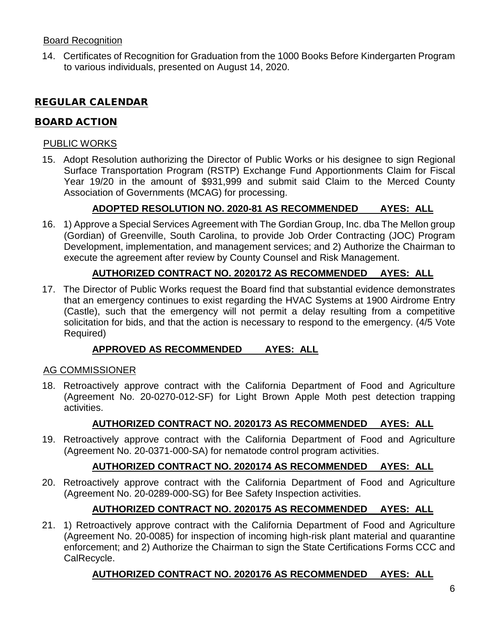#### Board Recognition

14. Certificates of Recognition for Graduation from the 1000 Books Before Kindergarten Program to various individuals, presented on August 14, 2020.

# REGULAR CALENDAR

# BOARD ACTION

#### PUBLIC WORKS

15. Adopt Resolution authorizing the Director of Public Works or his designee to sign Regional Surface Transportation Program (RSTP) Exchange Fund Apportionments Claim for Fiscal Year 19/20 in the amount of \$931,999 and submit said Claim to the Merced County Association of Governments (MCAG) for processing.

# **ADOPTED RESOLUTION NO. 2020-81 AS RECOMMENDED AYES: ALL**

16. 1) Approve a Special Services Agreement with The Gordian Group, Inc. dba The Mellon group (Gordian) of Greenville, South Carolina, to provide Job Order Contracting (JOC) Program Development, implementation, and management services; and 2) Authorize the Chairman to execute the agreement after review by County Counsel and Risk Management.

# **AUTHORIZED CONTRACT NO. 2020172 AS RECOMMENDED AYES: ALL**

17. The Director of Public Works request the Board find that substantial evidence demonstrates that an emergency continues to exist regarding the HVAC Systems at 1900 Airdrome Entry (Castle), such that the emergency will not permit a delay resulting from a competitive solicitation for bids, and that the action is necessary to respond to the emergency. (4/5 Vote Required)

# **APPROVED AS RECOMMENDED AYES: ALL**

# AG COMMISSIONER

18. Retroactively approve contract with the California Department of Food and Agriculture (Agreement No. 20-0270-012-SF) for Light Brown Apple Moth pest detection trapping activities.

# **AUTHORIZED CONTRACT NO. 2020173 AS RECOMMENDED AYES: ALL**

19. Retroactively approve contract with the California Department of Food and Agriculture (Agreement No. 20-0371-000-SA) for nematode control program activities.

# **AUTHORIZED CONTRACT NO. 2020174 AS RECOMMENDED AYES: ALL**

20. Retroactively approve contract with the California Department of Food and Agriculture (Agreement No. 20-0289-000-SG) for Bee Safety Inspection activities.

# **AUTHORIZED CONTRACT NO. 2020175 AS RECOMMENDED AYES: ALL**

21. 1) Retroactively approve contract with the California Department of Food and Agriculture (Agreement No. 20-0085) for inspection of incoming high-risk plant material and quarantine enforcement; and 2) Authorize the Chairman to sign the State Certifications Forms CCC and CalRecycle.

# **AUTHORIZED CONTRACT NO. 2020176 AS RECOMMENDED AYES: ALL**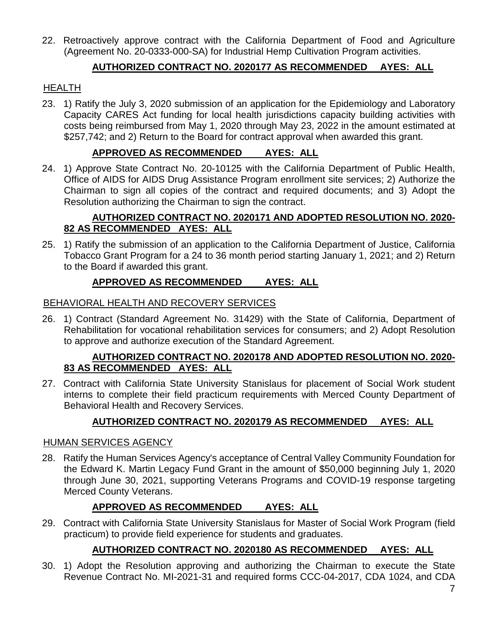22. Retroactively approve contract with the California Department of Food and Agriculture (Agreement No. 20-0333-000-SA) for Industrial Hemp Cultivation Program activities.

# **AUTHORIZED CONTRACT NO. 2020177 AS RECOMMENDED AYES: ALL**

#### **HEALTH**

23. 1) Ratify the July 3, 2020 submission of an application for the Epidemiology and Laboratory Capacity CARES Act funding for local health jurisdictions capacity building activities with costs being reimbursed from May 1, 2020 through May 23, 2022 in the amount estimated at \$257,742; and 2) Return to the Board for contract approval when awarded this grant.

# **APPROVED AS RECOMMENDED AYES: ALL**

24. 1) Approve State Contract No. 20-10125 with the California Department of Public Health, Office of AIDS for AIDS Drug Assistance Program enrollment site services; 2) Authorize the Chairman to sign all copies of the contract and required documents; and 3) Adopt the Resolution authorizing the Chairman to sign the contract.

#### **AUTHORIZED CONTRACT NO. 2020171 AND ADOPTED RESOLUTION NO. 2020- 82 AS RECOMMENDED AYES: ALL**

25. 1) Ratify the submission of an application to the California Department of Justice, California Tobacco Grant Program for a 24 to 36 month period starting January 1, 2021; and 2) Return to the Board if awarded this grant.

# **APPROVED AS RECOMMENDED AYES: ALL**

#### BEHAVIORAL HEALTH AND RECOVERY SERVICES

26. 1) Contract (Standard Agreement No. 31429) with the State of California, Department of Rehabilitation for vocational rehabilitation services for consumers; and 2) Adopt Resolution to approve and authorize execution of the Standard Agreement.

#### **AUTHORIZED CONTRACT NO. 2020178 AND ADOPTED RESOLUTION NO. 2020- 83 AS RECOMMENDED AYES: ALL**

27. Contract with California State University Stanislaus for placement of Social Work student interns to complete their field practicum requirements with Merced County Department of Behavioral Health and Recovery Services.

# **AUTHORIZED CONTRACT NO. 2020179 AS RECOMMENDED AYES: ALL**

#### HUMAN SERVICES AGENCY

28. Ratify the Human Services Agency's acceptance of Central Valley Community Foundation for the Edward K. Martin Legacy Fund Grant in the amount of \$50,000 beginning July 1, 2020 through June 30, 2021, supporting Veterans Programs and COVID-19 response targeting Merced County Veterans.

# **APPROVED AS RECOMMENDED AYES: ALL**

29. Contract with California State University Stanislaus for Master of Social Work Program (field practicum) to provide field experience for students and graduates.

# **AUTHORIZED CONTRACT NO. 2020180 AS RECOMMENDED AYES: ALL**

30. 1) Adopt the Resolution approving and authorizing the Chairman to execute the State Revenue Contract No. MI-2021-31 and required forms CCC-04-2017, CDA 1024, and CDA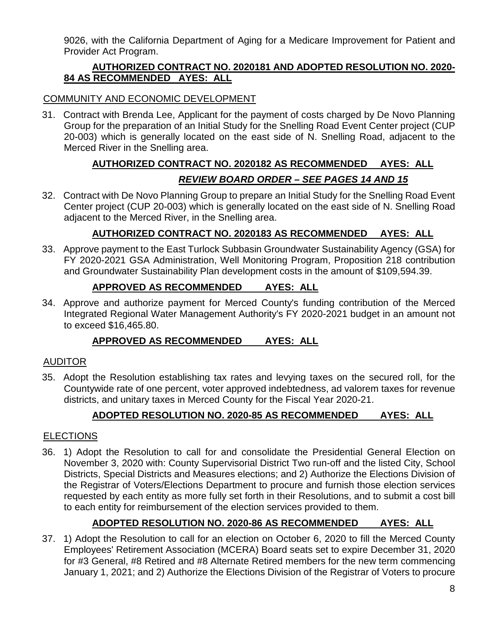9026, with the California Department of Aging for a Medicare Improvement for Patient and Provider Act Program.

# **AUTHORIZED CONTRACT NO. 2020181 AND ADOPTED RESOLUTION NO. 2020- 84 AS RECOMMENDED AYES: ALL**

# COMMUNITY AND ECONOMIC DEVELOPMENT

31. Contract with Brenda Lee, Applicant for the payment of costs charged by De Novo Planning Group for the preparation of an Initial Study for the Snelling Road Event Center project (CUP 20-003) which is generally located on the east side of N. Snelling Road, adjacent to the Merced River in the Snelling area.

# **AUTHORIZED CONTRACT NO. 2020182 AS RECOMMENDED AYES: ALL** *REVIEW BOARD ORDER – SEE PAGES 14 AND 15*

32. Contract with De Novo Planning Group to prepare an Initial Study for the Snelling Road Event Center project (CUP 20-003) which is generally located on the east side of N. Snelling Road adjacent to the Merced River, in the Snelling area.

# **AUTHORIZED CONTRACT NO. 2020183 AS RECOMMENDED AYES: ALL**

33. Approve payment to the East Turlock Subbasin Groundwater Sustainability Agency (GSA) for FY 2020-2021 GSA Administration, Well Monitoring Program, Proposition 218 contribution and Groundwater Sustainability Plan development costs in the amount of \$109,594.39.

# **APPROVED AS RECOMMENDED AYES: ALL**

34. Approve and authorize payment for Merced County's funding contribution of the Merced Integrated Regional Water Management Authority's FY 2020-2021 budget in an amount not to exceed \$16,465.80.

# **APPROVED AS RECOMMENDED AYES: ALL**

# AUDITOR

35. Adopt the Resolution establishing tax rates and levying taxes on the secured roll, for the Countywide rate of one percent, voter approved indebtedness, ad valorem taxes for revenue districts, and unitary taxes in Merced County for the Fiscal Year 2020-21.

# **ADOPTED RESOLUTION NO. 2020-85 AS RECOMMENDED AYES: ALL**

# **ELECTIONS**

36. 1) Adopt the Resolution to call for and consolidate the Presidential General Election on November 3, 2020 with: County Supervisorial District Two run-off and the listed City, School Districts, Special Districts and Measures elections; and 2) Authorize the Elections Division of the Registrar of Voters/Elections Department to procure and furnish those election services requested by each entity as more fully set forth in their Resolutions, and to submit a cost bill to each entity for reimbursement of the election services provided to them.

# **ADOPTED RESOLUTION NO. 2020-86 AS RECOMMENDED AYES: ALL**

37. 1) Adopt the Resolution to call for an election on October 6, 2020 to fill the Merced County Employees' Retirement Association (MCERA) Board seats set to expire December 31, 2020 for #3 General, #8 Retired and #8 Alternate Retired members for the new term commencing January 1, 2021; and 2) Authorize the Elections Division of the Registrar of Voters to procure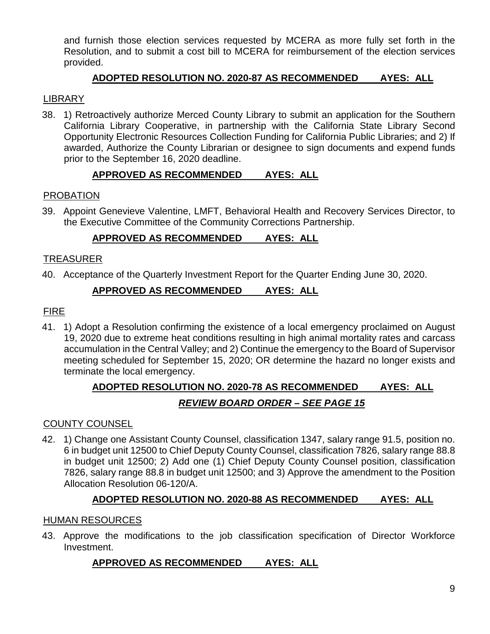and furnish those election services requested by MCERA as more fully set forth in the Resolution, and to submit a cost bill to MCERA for reimbursement of the election services provided.

# **ADOPTED RESOLUTION NO. 2020-87 AS RECOMMENDED AYES: ALL**

# LIBRARY

38. 1) Retroactively authorize Merced County Library to submit an application for the Southern California Library Cooperative, in partnership with the California State Library Second Opportunity Electronic Resources Collection Funding for California Public Libraries; and 2) If awarded, Authorize the County Librarian or designee to sign documents and expend funds prior to the September 16, 2020 deadline.

# **APPROVED AS RECOMMENDED AYES: ALL**

#### PROBATION

39. Appoint Genevieve Valentine, LMFT, Behavioral Health and Recovery Services Director, to the Executive Committee of the Community Corrections Partnership.

# **APPROVED AS RECOMMENDED AYES: ALL**

# TREASURER

40. Acceptance of the Quarterly Investment Report for the Quarter Ending June 30, 2020.

# **APPROVED AS RECOMMENDED AYES: ALL**

#### FIRE

41. 1) Adopt a Resolution confirming the existence of a local emergency proclaimed on August 19, 2020 due to extreme heat conditions resulting in high animal mortality rates and carcass accumulation in the Central Valley; and 2) Continue the emergency to the Board of Supervisor meeting scheduled for September 15, 2020; OR determine the hazard no longer exists and terminate the local emergency.

# **ADOPTED RESOLUTION NO. 2020-78 AS RECOMMENDED AYES: ALL** *REVIEW BOARD ORDER – SEE PAGE 15*

#### COUNTY COUNSEL

42. 1) Change one Assistant County Counsel, classification 1347, salary range 91.5, position no. 6 in budget unit 12500 to Chief Deputy County Counsel, classification 7826, salary range 88.8 in budget unit 12500; 2) Add one (1) Chief Deputy County Counsel position, classification 7826, salary range 88.8 in budget unit 12500; and 3) Approve the amendment to the Position Allocation Resolution 06-120/A.

# **ADOPTED RESOLUTION NO. 2020-88 AS RECOMMENDED AYES: ALL**

#### HUMAN RESOURCES

43. Approve the modifications to the job classification specification of Director Workforce Investment.

# **APPROVED AS RECOMMENDED AYES: ALL**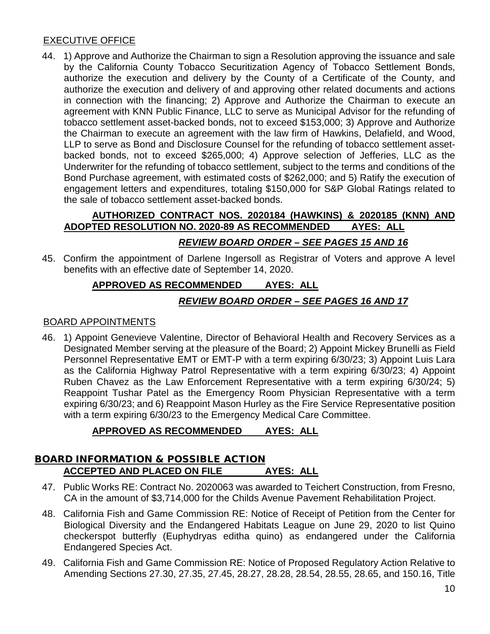#### EXECUTIVE OFFICE

44. 1) Approve and Authorize the Chairman to sign a Resolution approving the issuance and sale by the California County Tobacco Securitization Agency of Tobacco Settlement Bonds, authorize the execution and delivery by the County of a Certificate of the County, and authorize the execution and delivery of and approving other related documents and actions in connection with the financing; 2) Approve and Authorize the Chairman to execute an agreement with KNN Public Finance, LLC to serve as Municipal Advisor for the refunding of tobacco settlement asset-backed bonds, not to exceed \$153,000; 3) Approve and Authorize the Chairman to execute an agreement with the law firm of Hawkins, Delafield, and Wood, LLP to serve as Bond and Disclosure Counsel for the refunding of tobacco settlement assetbacked bonds, not to exceed \$265,000; 4) Approve selection of Jefferies, LLC as the Underwriter for the refunding of tobacco settlement, subject to the terms and conditions of the Bond Purchase agreement, with estimated costs of \$262,000; and 5) Ratify the execution of engagement letters and expenditures, totaling \$150,000 for S&P Global Ratings related to the sale of tobacco settlement asset-backed bonds.

# **AUTHORIZED CONTRACT NOS. 2020184 (HAWKINS) & 2020185 (KNN) AND ADOPTED RESOLUTION NO. 2020-89 AS RECOMMENDED AYES: ALL**

# *REVIEW BOARD ORDER – SEE PAGES 15 AND 16*

45. Confirm the appointment of Darlene Ingersoll as Registrar of Voters and approve A level benefits with an effective date of September 14, 2020.

# **APPROVED AS RECOMMENDED AYES: ALL**

# *REVIEW BOARD ORDER – SEE PAGES 16 AND 17*

#### BOARD APPOINTMENTS

46. 1) Appoint Genevieve Valentine, Director of Behavioral Health and Recovery Services as a Designated Member serving at the pleasure of the Board; 2) Appoint Mickey Brunelli as Field Personnel Representative EMT or EMT-P with a term expiring 6/30/23; 3) Appoint Luis Lara as the California Highway Patrol Representative with a term expiring 6/30/23; 4) Appoint Ruben Chavez as the Law Enforcement Representative with a term expiring 6/30/24; 5) Reappoint Tushar Patel as the Emergency Room Physician Representative with a term expiring 6/30/23; and 6) Reappoint Mason Hurley as the Fire Service Representative position with a term expiring 6/30/23 to the Emergency Medical Care Committee.

# **APPROVED AS RECOMMENDED AYES: ALL**

#### BOARD INFORMATION & POSSIBLE ACTION **ACCEPTED AND PLACED ON FILE AYES: ALL**

- 47. Public Works RE: Contract No. 2020063 was awarded to Teichert Construction, from Fresno, CA in the amount of \$3,714,000 for the Childs Avenue Pavement Rehabilitation Project.
- 48. California Fish and Game Commission RE: Notice of Receipt of Petition from the Center for Biological Diversity and the Endangered Habitats League on June 29, 2020 to list Quino checkerspot butterfly (Euphydryas editha quino) as endangered under the California Endangered Species Act.
- 49. California Fish and Game Commission RE: Notice of Proposed Regulatory Action Relative to Amending Sections 27.30, 27.35, 27.45, 28.27, 28.28, 28.54, 28.55, 28.65, and 150.16, Title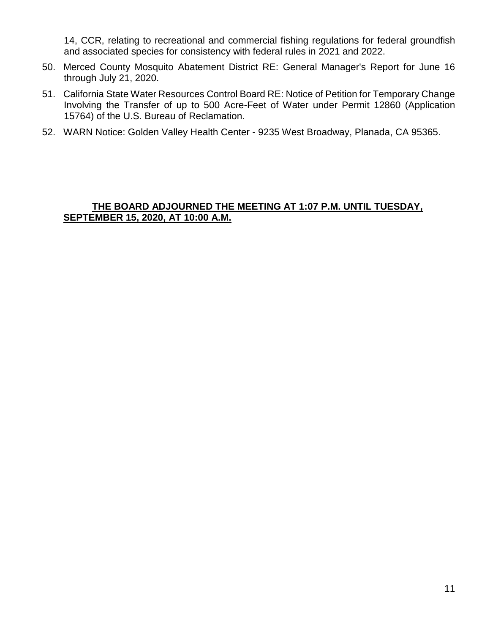14, CCR, relating to recreational and commercial fishing regulations for federal groundfish and associated species for consistency with federal rules in 2021 and 2022.

- 50. Merced County Mosquito Abatement District RE: General Manager's Report for June 16 through July 21, 2020.
- 51. California State Water Resources Control Board RE: Notice of Petition for Temporary Change Involving the Transfer of up to 500 Acre-Feet of Water under Permit 12860 (Application 15764) of the U.S. Bureau of Reclamation.
- 52. WARN Notice: Golden Valley Health Center 9235 West Broadway, Planada, CA 95365.

#### **THE BOARD ADJOURNED THE MEETING AT 1:07 P.M. UNTIL TUESDAY, SEPTEMBER 15, 2020, AT 10:00 A.M.**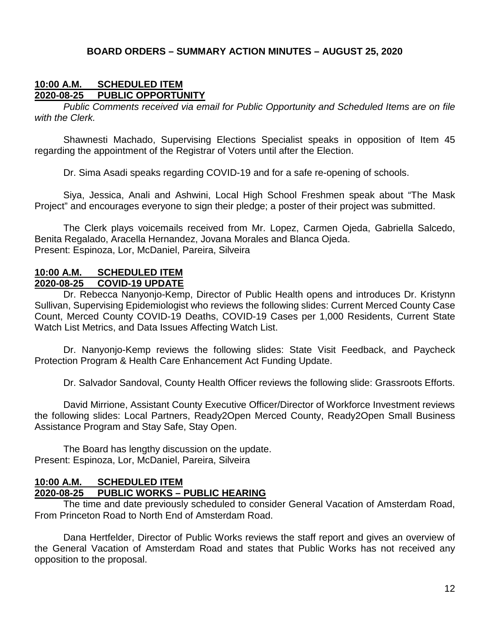#### **BOARD ORDERS – SUMMARY ACTION MINUTES – AUGUST 25, 2020**

#### **10:00 A.M. SCHEDULED ITEM 2020-08-25 PUBLIC OPPORTUNITY**

*Public Comments received via email for Public Opportunity and Scheduled Items are on file with the Clerk.*

Shawnesti Machado, Supervising Elections Specialist speaks in opposition of Item 45 regarding the appointment of the Registrar of Voters until after the Election.

Dr. Sima Asadi speaks regarding COVID-19 and for a safe re-opening of schools.

Siya, Jessica, Anali and Ashwini, Local High School Freshmen speak about "The Mask Project" and encourages everyone to sign their pledge; a poster of their project was submitted.

The Clerk plays voicemails received from Mr. Lopez, Carmen Ojeda, Gabriella Salcedo, Benita Regalado, Aracella Hernandez, Jovana Morales and Blanca Ojeda. Present: Espinoza, Lor, McDaniel, Pareira, Silveira

#### **10:00 A.M. SCHEDULED ITEM 2020-08-25 COVID-19 UPDATE**

Dr. Rebecca Nanyonjo-Kemp, Director of Public Health opens and introduces Dr. Kristynn Sullivan, Supervising Epidemiologist who reviews the following slides: Current Merced County Case Count, Merced County COVID-19 Deaths, COVID-19 Cases per 1,000 Residents, Current State Watch List Metrics, and Data Issues Affecting Watch List.

Dr. Nanyonjo-Kemp reviews the following slides: State Visit Feedback, and Paycheck Protection Program & Health Care Enhancement Act Funding Update.

Dr. Salvador Sandoval, County Health Officer reviews the following slide: Grassroots Efforts.

David Mirrione, Assistant County Executive Officer/Director of Workforce Investment reviews the following slides: Local Partners, Ready2Open Merced County, Ready2Open Small Business Assistance Program and Stay Safe, Stay Open.

The Board has lengthy discussion on the update. Present: Espinoza, Lor, McDaniel, Pareira, Silveira

# **10:00 A.M. SCHEDULED ITEM 2020-08-25 PUBLIC WORKS – PUBLIC HEARING**

The time and date previously scheduled to consider General Vacation of Amsterdam Road, From Princeton Road to North End of Amsterdam Road.

Dana Hertfelder, Director of Public Works reviews the staff report and gives an overview of the General Vacation of Amsterdam Road and states that Public Works has not received any opposition to the proposal.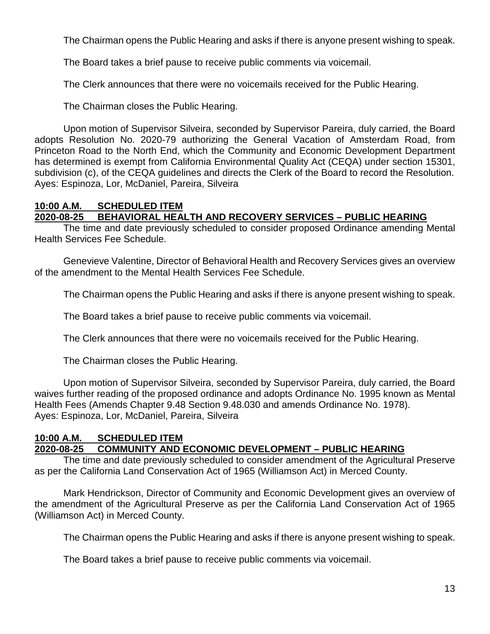The Chairman opens the Public Hearing and asks if there is anyone present wishing to speak.

The Board takes a brief pause to receive public comments via voicemail.

The Clerk announces that there were no voicemails received for the Public Hearing.

The Chairman closes the Public Hearing.

Upon motion of Supervisor Silveira, seconded by Supervisor Pareira, duly carried, the Board adopts Resolution No. 2020-79 authorizing the General Vacation of Amsterdam Road, from Princeton Road to the North End, which the Community and Economic Development Department has determined is exempt from California Environmental Quality Act (CEQA) under section 15301, subdivision (c), of the CEQA guidelines and directs the Clerk of the Board to record the Resolution. Ayes: Espinoza, Lor, McDaniel, Pareira, Silveira

#### **10:00 A.M. SCHEDULED ITEM 2020-08-25 BEHAVIORAL HEALTH AND RECOVERY SERVICES – PUBLIC HEARING**

The time and date previously scheduled to consider proposed Ordinance amending Mental Health Services Fee Schedule.

Genevieve Valentine, Director of Behavioral Health and Recovery Services gives an overview of the amendment to the Mental Health Services Fee Schedule.

The Chairman opens the Public Hearing and asks if there is anyone present wishing to speak.

The Board takes a brief pause to receive public comments via voicemail.

The Clerk announces that there were no voicemails received for the Public Hearing.

The Chairman closes the Public Hearing.

Upon motion of Supervisor Silveira, seconded by Supervisor Pareira, duly carried, the Board waives further reading of the proposed ordinance and adopts Ordinance No. 1995 known as Mental Health Fees (Amends Chapter 9.48 Section 9.48.030 and amends Ordinance No. 1978). Ayes: Espinoza, Lor, McDaniel, Pareira, Silveira

#### **10:00 A.M. SCHEDULED ITEM 2020-08-25 COMMUNITY AND ECONOMIC DEVELOPMENT – PUBLIC HEARING**

The time and date previously scheduled to consider amendment of the Agricultural Preserve as per the California Land Conservation Act of 1965 (Williamson Act) in Merced County.

Mark Hendrickson, Director of Community and Economic Development gives an overview of the amendment of the Agricultural Preserve as per the California Land Conservation Act of 1965 (Williamson Act) in Merced County.

The Chairman opens the Public Hearing and asks if there is anyone present wishing to speak.

The Board takes a brief pause to receive public comments via voicemail.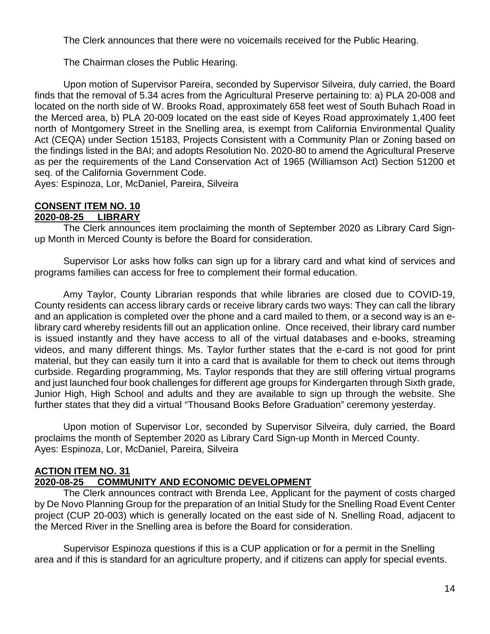The Clerk announces that there were no voicemails received for the Public Hearing.

The Chairman closes the Public Hearing.

Upon motion of Supervisor Pareira, seconded by Supervisor Silveira, duly carried, the Board finds that the removal of 5.34 acres from the Agricultural Preserve pertaining to: a) PLA 20-008 and located on the north side of W. Brooks Road, approximately 658 feet west of South Buhach Road in the Merced area, b) PLA 20-009 located on the east side of Keyes Road approximately 1,400 feet north of Montgomery Street in the Snelling area, is exempt from California Environmental Quality Act (CEQA) under Section 15183, Projects Consistent with a Community Plan or Zoning based on the findings listed in the BAI; and adopts Resolution No. 2020-80 to amend the Agricultural Preserve as per the requirements of the Land Conservation Act of 1965 (Williamson Act) Section 51200 et seq. of the California Government Code.

Ayes: Espinoza, Lor, McDaniel, Pareira, Silveira

#### **CONSENT ITEM NO. 10 2020-08-25 LIBRARY**

The Clerk announces item proclaiming the month of September 2020 as Library Card Signup Month in Merced County is before the Board for consideration.

Supervisor Lor asks how folks can sign up for a library card and what kind of services and programs families can access for free to complement their formal education.

Amy Taylor, County Librarian responds that while libraries are closed due to COVID-19, County residents can access library cards or receive library cards two ways: They can call the library and an application is completed over the phone and a card mailed to them, or a second way is an elibrary card whereby residents fill out an application online. Once received, their library card number is issued instantly and they have access to all of the virtual databases and e-books, streaming videos, and many different things. Ms. Taylor further states that the e-card is not good for print material, but they can easily turn it into a card that is available for them to check out items through curbside. Regarding programming, Ms. Taylor responds that they are still offering virtual programs and just launched four book challenges for different age groups for Kindergarten through Sixth grade, Junior High, High School and adults and they are available to sign up through the website. She further states that they did a virtual "Thousand Books Before Graduation" ceremony yesterday.

Upon motion of Supervisor Lor, seconded by Supervisor Silveira, duly carried, the Board proclaims the month of September 2020 as Library Card Sign-up Month in Merced County. Ayes: Espinoza, Lor, McDaniel, Pareira, Silveira

#### **ACTION ITEM NO. 31 2020-08-25 COMMUNITY AND ECONOMIC DEVELOPMENT**

The Clerk announces contract with Brenda Lee, Applicant for the payment of costs charged by De Novo Planning Group for the preparation of an Initial Study for the Snelling Road Event Center project (CUP 20-003) which is generally located on the east side of N. Snelling Road, adjacent to the Merced River in the Snelling area is before the Board for consideration.

Supervisor Espinoza questions if this is a CUP application or for a permit in the Snelling area and if this is standard for an agriculture property, and if citizens can apply for special events.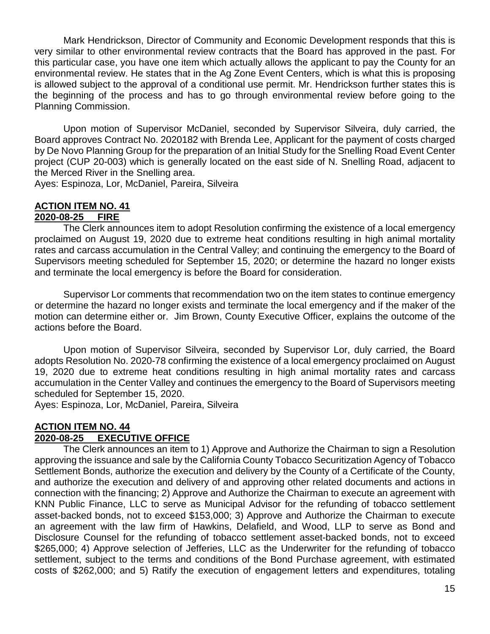Mark Hendrickson, Director of Community and Economic Development responds that this is very similar to other environmental review contracts that the Board has approved in the past. For this particular case, you have one item which actually allows the applicant to pay the County for an environmental review. He states that in the Ag Zone Event Centers, which is what this is proposing is allowed subject to the approval of a conditional use permit. Mr. Hendrickson further states this is the beginning of the process and has to go through environmental review before going to the Planning Commission.

Upon motion of Supervisor McDaniel, seconded by Supervisor Silveira, duly carried, the Board approves Contract No. 2020182 with Brenda Lee, Applicant for the payment of costs charged by De Novo Planning Group for the preparation of an Initial Study for the Snelling Road Event Center project (CUP 20-003) which is generally located on the east side of N. Snelling Road, adjacent to the Merced River in the Snelling area.

Ayes: Espinoza, Lor, McDaniel, Pareira, Silveira

#### **ACTION ITEM NO. 41 2020-08-25 FIRE**

The Clerk announces item to adopt Resolution confirming the existence of a local emergency proclaimed on August 19, 2020 due to extreme heat conditions resulting in high animal mortality rates and carcass accumulation in the Central Valley; and continuing the emergency to the Board of Supervisors meeting scheduled for September 15, 2020; or determine the hazard no longer exists and terminate the local emergency is before the Board for consideration.

Supervisor Lor comments that recommendation two on the item states to continue emergency or determine the hazard no longer exists and terminate the local emergency and if the maker of the motion can determine either or. Jim Brown, County Executive Officer, explains the outcome of the actions before the Board.

Upon motion of Supervisor Silveira, seconded by Supervisor Lor, duly carried, the Board adopts Resolution No. 2020-78 confirming the existence of a local emergency proclaimed on August 19, 2020 due to extreme heat conditions resulting in high animal mortality rates and carcass accumulation in the Center Valley and continues the emergency to the Board of Supervisors meeting scheduled for September 15, 2020.

Ayes: Espinoza, Lor, McDaniel, Pareira, Silveira

#### **ACTION ITEM NO. 44 2020-08-25 EXECUTIVE OFFICE**

The Clerk announces an item to 1) Approve and Authorize the Chairman to sign a Resolution approving the issuance and sale by the California County Tobacco Securitization Agency of Tobacco Settlement Bonds, authorize the execution and delivery by the County of a Certificate of the County, and authorize the execution and delivery of and approving other related documents and actions in connection with the financing; 2) Approve and Authorize the Chairman to execute an agreement with KNN Public Finance, LLC to serve as Municipal Advisor for the refunding of tobacco settlement asset-backed bonds, not to exceed \$153,000; 3) Approve and Authorize the Chairman to execute an agreement with the law firm of Hawkins, Delafield, and Wood, LLP to serve as Bond and Disclosure Counsel for the refunding of tobacco settlement asset-backed bonds, not to exceed \$265,000; 4) Approve selection of Jefferies, LLC as the Underwriter for the refunding of tobacco settlement, subject to the terms and conditions of the Bond Purchase agreement, with estimated costs of \$262,000; and 5) Ratify the execution of engagement letters and expenditures, totaling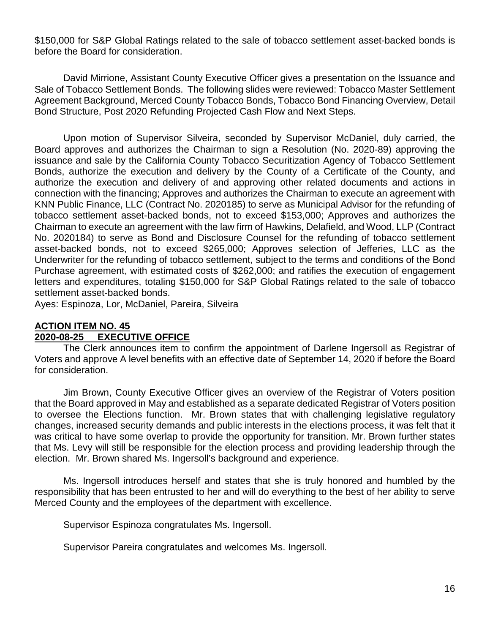\$150,000 for S&P Global Ratings related to the sale of tobacco settlement asset-backed bonds is before the Board for consideration.

David Mirrione, Assistant County Executive Officer gives a presentation on the Issuance and Sale of Tobacco Settlement Bonds. The following slides were reviewed: Tobacco Master Settlement Agreement Background, Merced County Tobacco Bonds, Tobacco Bond Financing Overview, Detail Bond Structure, Post 2020 Refunding Projected Cash Flow and Next Steps.

Upon motion of Supervisor Silveira, seconded by Supervisor McDaniel, duly carried, the Board approves and authorizes the Chairman to sign a Resolution (No. 2020-89) approving the issuance and sale by the California County Tobacco Securitization Agency of Tobacco Settlement Bonds, authorize the execution and delivery by the County of a Certificate of the County, and authorize the execution and delivery of and approving other related documents and actions in connection with the financing; Approves and authorizes the Chairman to execute an agreement with KNN Public Finance, LLC (Contract No. 2020185) to serve as Municipal Advisor for the refunding of tobacco settlement asset-backed bonds, not to exceed \$153,000; Approves and authorizes the Chairman to execute an agreement with the law firm of Hawkins, Delafield, and Wood, LLP (Contract No. 2020184) to serve as Bond and Disclosure Counsel for the refunding of tobacco settlement asset-backed bonds, not to exceed \$265,000; Approves selection of Jefferies, LLC as the Underwriter for the refunding of tobacco settlement, subject to the terms and conditions of the Bond Purchase agreement, with estimated costs of \$262,000; and ratifies the execution of engagement letters and expenditures, totaling \$150,000 for S&P Global Ratings related to the sale of tobacco settlement asset-backed bonds.

Ayes: Espinoza, Lor, McDaniel, Pareira, Silveira

# **ACTION ITEM NO. 45 2020-08-25 EXECUTIVE OFFICE**

The Clerk announces item to confirm the appointment of Darlene Ingersoll as Registrar of Voters and approve A level benefits with an effective date of September 14, 2020 if before the Board for consideration.

Jim Brown, County Executive Officer gives an overview of the Registrar of Voters position that the Board approved in May and established as a separate dedicated Registrar of Voters position to oversee the Elections function. Mr. Brown states that with challenging legislative regulatory changes, increased security demands and public interests in the elections process, it was felt that it was critical to have some overlap to provide the opportunity for transition. Mr. Brown further states that Ms. Levy will still be responsible for the election process and providing leadership through the election. Mr. Brown shared Ms. Ingersoll's background and experience.

Ms. Ingersoll introduces herself and states that she is truly honored and humbled by the responsibility that has been entrusted to her and will do everything to the best of her ability to serve Merced County and the employees of the department with excellence.

Supervisor Espinoza congratulates Ms. Ingersoll.

Supervisor Pareira congratulates and welcomes Ms. Ingersoll.